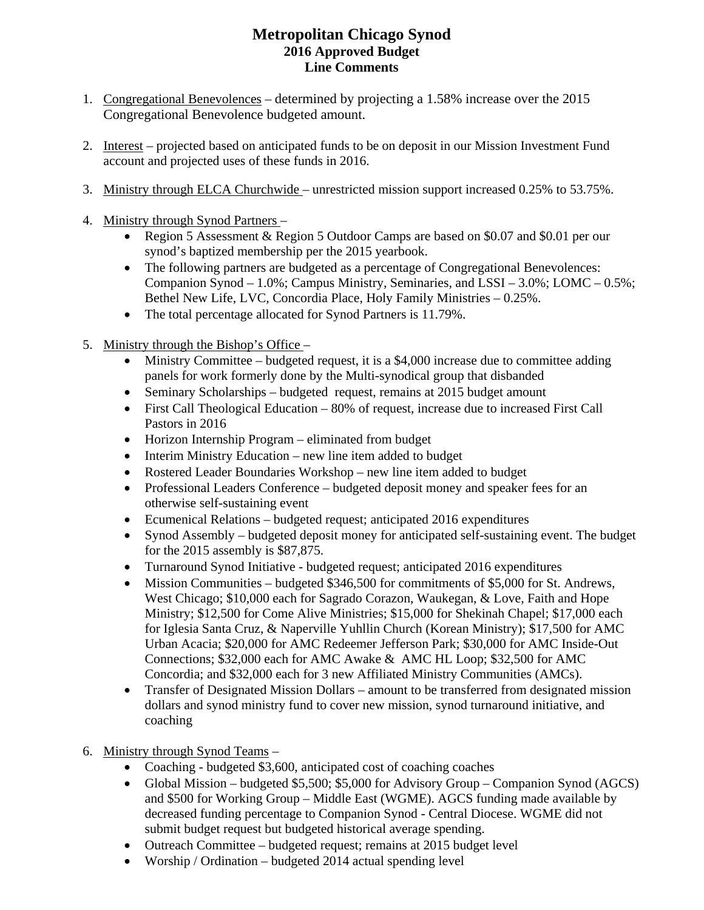# **Metropolitan Chicago Synod 2016 Approved Budget Line Comments**

- 1. Congregational Benevolences determined by projecting a 1.58% increase over the 2015 Congregational Benevolence budgeted amount.
- 2. Interest projected based on anticipated funds to be on deposit in our Mission Investment Fund account and projected uses of these funds in 2016.
- 3. Ministry through ELCA Churchwide unrestricted mission support increased 0.25% to 53.75%.
- 4. Ministry through Synod Partners
	- Region 5 Assessment & Region 5 Outdoor Camps are based on \$0.07 and \$0.01 per our synod's baptized membership per the 2015 yearbook.
	- The following partners are budgeted as a percentage of Congregational Benevolences: Companion Synod – 1.0%; Campus Ministry, Seminaries, and LSSI – 3.0%; LOMC – 0.5%; Bethel New Life, LVC, Concordia Place, Holy Family Ministries – 0.25%.
	- The total percentage allocated for Synod Partners is 11.79%.
- 5. Ministry through the Bishop's Office
	- $\bullet$  Ministry Committee budgeted request, it is a \$4,000 increase due to committee adding panels for work formerly done by the Multi-synodical group that disbanded
	- Seminary Scholarships budgeted request, remains at 2015 budget amount
	- First Call Theological Education 80% of request, increase due to increased First Call Pastors in 2016
	- Horizon Internship Program eliminated from budget
	- Interim Ministry Education new line item added to budget
	- Rostered Leader Boundaries Workshop new line item added to budget
	- Professional Leaders Conference budgeted deposit money and speaker fees for an otherwise self-sustaining event
	- Ecumenical Relations budgeted request; anticipated 2016 expenditures
	- Synod Assembly budgeted deposit money for anticipated self-sustaining event. The budget for the 2015 assembly is \$87,875.
	- Turnaround Synod Initiative budgeted request; anticipated 2016 expenditures
	- Mission Communities budgeted \$346,500 for commitments of \$5,000 for St. Andrews, West Chicago; \$10,000 each for Sagrado Corazon, Waukegan, & Love, Faith and Hope Ministry; \$12,500 for Come Alive Ministries; \$15,000 for Shekinah Chapel; \$17,000 each for Iglesia Santa Cruz, & Naperville Yuhllin Church (Korean Ministry); \$17,500 for AMC Urban Acacia; \$20,000 for AMC Redeemer Jefferson Park; \$30,000 for AMC Inside-Out Connections; \$32,000 each for AMC Awake & AMC HL Loop; \$32,500 for AMC Concordia; and \$32,000 each for 3 new Affiliated Ministry Communities (AMCs).
	- Transfer of Designated Mission Dollars amount to be transferred from designated mission dollars and synod ministry fund to cover new mission, synod turnaround initiative, and coaching
- 6. Ministry through Synod Teams
	- Coaching budgeted \$3,600, anticipated cost of coaching coaches
	- Global Mission budgeted \$5,500; \$5,000 for Advisory Group Companion Synod (AGCS) and \$500 for Working Group – Middle East (WGME). AGCS funding made available by decreased funding percentage to Companion Synod - Central Diocese. WGME did not submit budget request but budgeted historical average spending.
	- Outreach Committee budgeted request; remains at 2015 budget level
	- Worship / Ordination budgeted 2014 actual spending level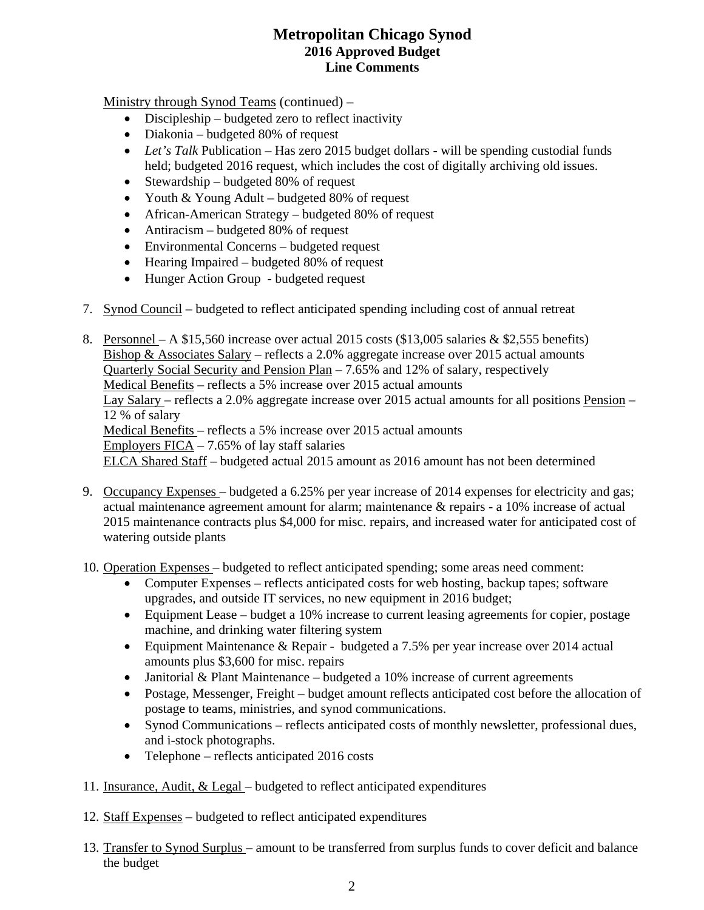# **Metropolitan Chicago Synod 2016 Approved Budget Line Comments**

Ministry through Synod Teams (continued) –

- Discipleship budgeted zero to reflect inactivity
- Diakonia budgeted 80% of request
- Let's Talk Publication Has zero 2015 budget dollars will be spending custodial funds held; budgeted 2016 request, which includes the cost of digitally archiving old issues.
- Stewardship budgeted  $80\%$  of request
- Youth & Young Adult budgeted 80% of request
- African-American Strategy budgeted 80% of request
- Antiracism budgeted 80% of request
- Environmental Concerns budgeted request
- Hearing Impaired budgeted 80% of request
- Hunger Action Group budgeted request
- 7. Synod Council budgeted to reflect anticipated spending including cost of annual retreat
- 8. Personnel A \$15,560 increase over actual 2015 costs (\$13,005 salaries & \$2,555 benefits) Bishop & Associates Salary – reflects a 2.0% aggregate increase over 2015 actual amounts Quarterly Social Security and Pension Plan – 7.65% and 12% of salary, respectively Medical Benefits – reflects a 5% increase over 2015 actual amounts Lay Salary – reflects a 2.0% aggregate increase over 2015 actual amounts for all positions Pension – 12 % of salary Medical Benefits – reflects a 5% increase over 2015 actual amounts Employers  $FICA - 7.65\%$  of lay staff salaries ELCA Shared Staff – budgeted actual 2015 amount as 2016 amount has not been determined
- 9. Occupancy Expenses budgeted a 6.25% per year increase of 2014 expenses for electricity and gas; actual maintenance agreement amount for alarm; maintenance & repairs - a 10% increase of actual 2015 maintenance contracts plus \$4,000 for misc. repairs, and increased water for anticipated cost of watering outside plants
- 10. Operation Expenses budgeted to reflect anticipated spending; some areas need comment:
	- Computer Expenses reflects anticipated costs for web hosting, backup tapes; software upgrades, and outside IT services, no new equipment in 2016 budget;
	- Equipment Lease budget a 10% increase to current leasing agreements for copier, postage machine, and drinking water filtering system
	- Equipment Maintenance & Repair budgeted a 7.5% per year increase over 2014 actual amounts plus \$3,600 for misc. repairs
	- Janitorial & Plant Maintenance budgeted a 10% increase of current agreements
	- Postage, Messenger, Freight budget amount reflects anticipated cost before the allocation of postage to teams, ministries, and synod communications.
	- Synod Communications reflects anticipated costs of monthly newsletter, professional dues, and i-stock photographs.
	- Telephone reflects anticipated 2016 costs
- 11. Insurance, Audit, & Legal budgeted to reflect anticipated expenditures
- 12. Staff Expenses budgeted to reflect anticipated expenditures
- 13. Transfer to Synod Surplus amount to be transferred from surplus funds to cover deficit and balance the budget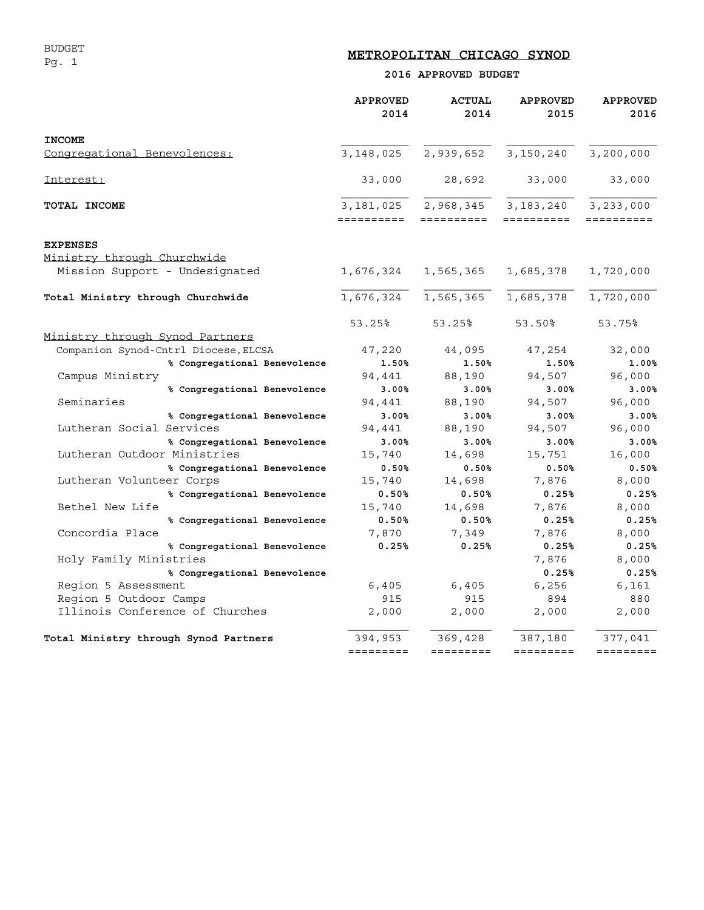# **METROPOLITAN CHICAGO SYNOD**

### **2016 APPROVED BUDGET**

|                                       | <b>APPROVED</b><br>2014 | <b>ACTUAL</b><br>2014 | <b>APPROVED</b><br>2015           | <b>APPROVED</b><br>2016 |
|---------------------------------------|-------------------------|-----------------------|-----------------------------------|-------------------------|
| <b>INCOME</b>                         |                         |                       |                                   |                         |
| Congregational Benevolences:          | 3, 148, 025             | 2,939,652             | 3,150,240                         | 3,200,000               |
| Interest:                             | 33,000                  | 28,692                | 33,000                            | 33,000                  |
| TOTAL INCOME                          | 3,181,025<br>========== | ==========            | 2,968,345 3,183,240<br>========== | 3,233,000<br>========== |
|                                       |                         |                       |                                   |                         |
| <b>EXPENSES</b>                       |                         |                       |                                   |                         |
| Ministry through Churchwide           |                         |                       |                                   |                         |
| Mission Support - Undesignated        |                         |                       | 1,676,324 1,565,365 1,685,378     | 1,720,000               |
| Total Ministry through Churchwide     | 1,676,324               |                       | 1,565,365 1,685,378               | 1,720,000               |
|                                       | 53.25%                  | 53.25%                | 53.50%                            | 53.75%                  |
| Ministry through Synod Partners       |                         |                       |                                   |                         |
| Companion Synod-Cntrl Diocese, ELCSA  | 47,220                  | 44,095                | 47,254                            | 32,000                  |
| % Congregational Benevolence          | 1.50%                   | 1.50%                 | 1.50%                             | 1.00%                   |
| Campus Ministry                       | 94,441                  | 88,190                | 94,507                            | 96,000                  |
| % Congregational Benevolence          | 3.00%                   | 3.00%                 | 3.00%                             | 3.00%                   |
| Seminaries                            | 94,441                  | 88,190                | 94,507                            | 96,000                  |
| % Congregational Benevolence          | 3.00%                   | 3.00%                 | 3.00%                             | 3.00%                   |
| Lutheran Social Services              | 94,441                  | 88,190                | 94,507                            | 96,000                  |
| % Congregational Benevolence          | 3.00%                   | 3.00%                 | 3.00%                             | 3.00%                   |
| Lutheran Outdoor Ministries           | 15,740                  | 14,698                | 15,751                            | 16,000                  |
| % Congregational Benevolence          | 0.50%                   | 0.50%                 | 0.50%                             | 0.50%                   |
| Lutheran Volunteer Corps              | 15,740                  | 14,698                | 7,876                             | 8,000                   |
| % Congregational Benevolence          | 0.50%                   | 0.50%                 | 0.25%                             | 0.25%                   |
| Bethel New Life                       | 15,740                  | 14,698                | 7,876                             | 8,000                   |
| % Congregational Benevolence          | 0.50%                   | $0.50\%$              | 0.25%                             | 0.25%                   |
| Concordia Place                       | 7,870                   | 7,349                 | 7,876                             | 8,000                   |
| % Congregational Benevolence          | 0.25%                   | 0.25%                 | 0.25%                             | 0.25%                   |
| Holy Family Ministries                |                         |                       | 7,876                             | 8,000                   |
| % Congregational Benevolence          |                         |                       | 0.25%                             | 0.25%                   |
| Region 5 Assessment                   | 6,405                   | 6,405                 | 6,256                             | 6,161                   |
| Region 5 Outdoor Camps                | 915                     | 915                   | 894                               | 880                     |
| Illinois Conference of Churches       | 2,000                   | 2,000                 | 2,000                             | 2,000                   |
| Total Ministry through Synod Partners | 394,953                 | 369,428               | 387,180                           | 377,041                 |
|                                       |                         |                       | =========                         | =========               |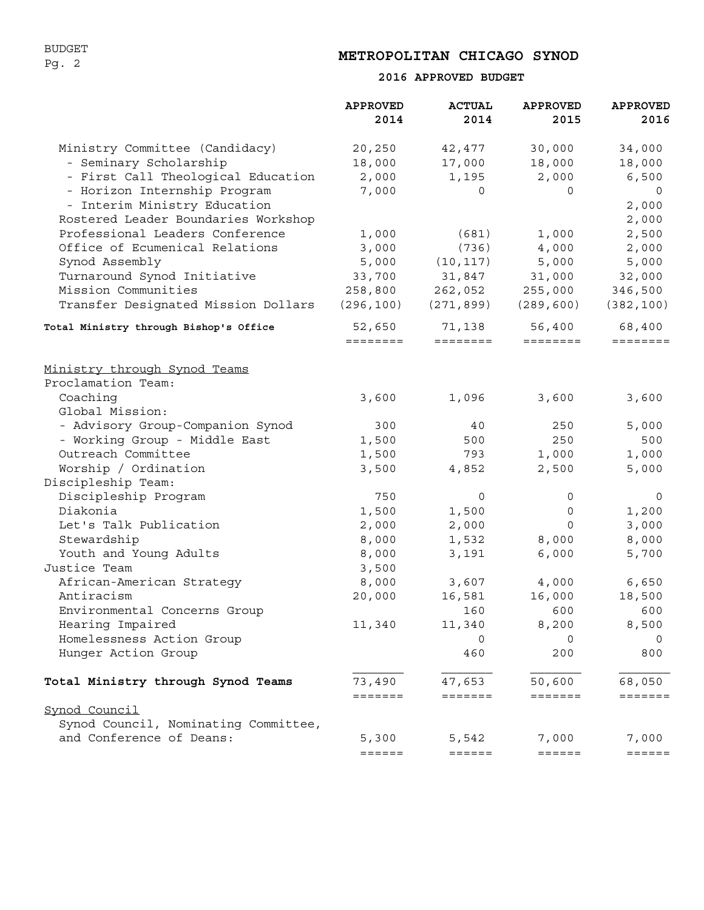BUDGET Pg. 2

## **METROPOLITAN CHICAGO SYNOD**

### **2016 APPROVED BUDGET**

|                                        | <b>APPROVED</b><br>2014 | <b>ACTUAL</b><br>2014       | <b>APPROVED</b><br>2015 | <b>APPROVED</b><br>2016 |
|----------------------------------------|-------------------------|-----------------------------|-------------------------|-------------------------|
| Ministry Committee (Candidacy)         | 20,250                  | 42,477                      | 30,000                  | 34,000                  |
| - Seminary Scholarship                 | 18,000                  | 17,000                      | 18,000                  | 18,000                  |
| - First Call Theological Education     | 2,000                   | 1,195                       | 2,000                   | 6,500                   |
| - Horizon Internship Program           | 7,000                   | 0                           | $\Omega$                | 0                       |
| - Interim Ministry Education           |                         |                             |                         | 2,000                   |
| Rostered Leader Boundaries Workshop    |                         |                             |                         | 2,000                   |
| Professional Leaders Conference        | 1,000                   | (681)                       | 1,000                   | 2,500                   |
| Office of Ecumenical Relations         | 3,000                   | (736)                       | 4,000                   | 2,000                   |
| Synod Assembly                         | 5,000                   | (10, 117)                   | 5,000                   | 5,000                   |
| Turnaround Synod Initiative            | 33,700                  | 31,847                      | 31,000                  | 32,000                  |
| Mission Communities                    | 258,800                 | 262,052                     | 255,000                 | 346,500                 |
| Transfer Designated Mission Dollars    | (296, 100)              | (271,899)                   | (289, 600)              | (382, 100)              |
| Total Ministry through Bishop's Office | 52,650                  | 71,138                      | 56,400                  | 68,400                  |
|                                        | ========                | $=$ $=$ $=$ $=$ $=$ $=$ $=$ | ========                | ========                |
| <u>Ministry through Synod Teams</u>    |                         |                             |                         |                         |
| Proclamation Team:                     |                         |                             |                         |                         |
| Coaching                               | 3,600                   | 1,096                       | 3,600                   | 3,600                   |
| Global Mission:                        |                         |                             |                         |                         |
| - Advisory Group-Companion Synod       | 300                     | 40                          | 250                     | 5,000                   |
| - Working Group - Middle East          | 1,500                   | 500                         | 250                     | 500                     |
| Outreach Committee                     | 1,500                   | 793                         | 1,000                   | 1,000                   |
| Worship / Ordination                   | 3,500                   | 4,852                       | 2,500                   | 5,000                   |
| Discipleship Team:                     |                         |                             |                         |                         |
| Discipleship Program                   | 750                     | 0                           | 0                       | 0                       |
| Diakonia                               | 1,500                   | 1,500                       | 0                       | 1,200                   |
| Let's Talk Publication                 | 2,000                   | 2,000                       | 0                       | 3,000                   |
| Stewardship                            | 8,000                   | 1,532                       | 8,000                   | 8,000                   |
| Youth and Young Adults                 | 8,000                   | 3,191                       | 6,000                   | 5,700                   |
| Justice Team                           | 3,500                   |                             |                         |                         |
| African-American Strategy              | 8,000                   | 3,607                       | 4,000                   | 6,650                   |
| Antiracism                             | 20,000                  | 16,581                      | 16,000                  | 18,500                  |
| Environmental Concerns Group           |                         | 160                         | 600                     | 600                     |
| Hearing Impaired                       | 11,340                  | 11,340                      | 8,200                   | 8,500                   |
| Homelessness Action Group              |                         | $\Omega$                    | $\Omega$                | 0                       |
| Hunger Action Group                    |                         | 460                         | 200                     | 800                     |
| Total Ministry through Synod Teams     | 73,490                  | 47,653                      | 50,600                  | 68,050                  |
| Synod Council                          | =======                 | =======                     | $=$ = = = = = =         | =======                 |
| Synod Council, Nominating Committee,   |                         |                             |                         |                         |
| and Conference of Deans:               | 5,300                   | 5,542                       | 7,000                   | 7,000                   |
|                                        | ======                  | ======                      | $=======$               | $=$                     |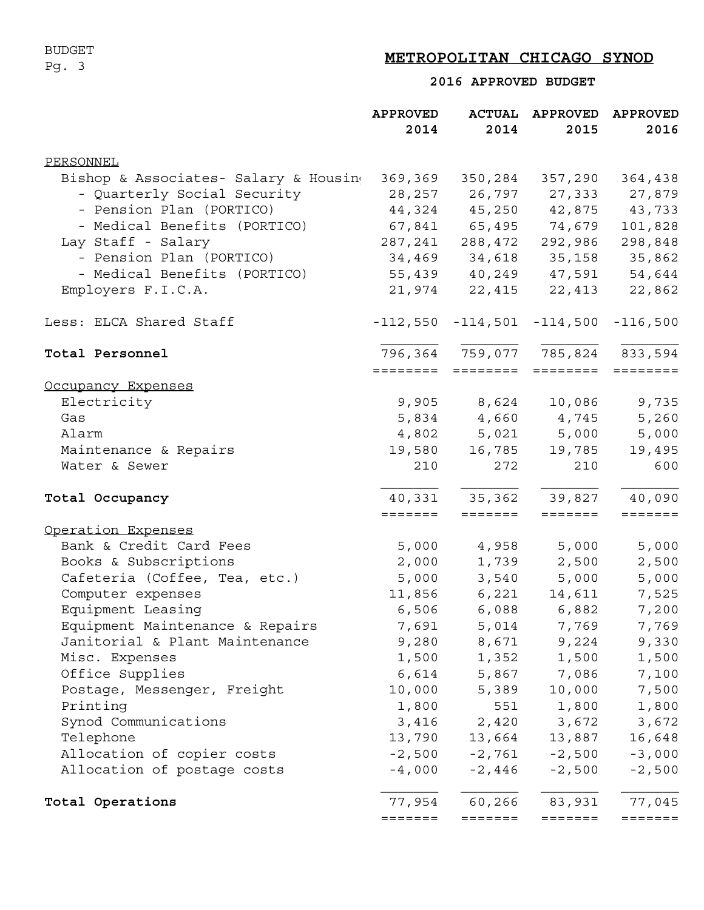## BUDGET Pg. 3

# **METROPOLITAN CHICAGO SYNOD**

 **2016 APPROVED BUDGET**

|                                       | <b>APPROVED</b> |                                       | ACTUAL APPROVED | <b>APPROVED</b> |
|---------------------------------------|-----------------|---------------------------------------|-----------------|-----------------|
|                                       | 2014            | 2014                                  | 2015            | 2016            |
| PERSONNEL                             |                 |                                       |                 |                 |
| Bishop & Associates- Salary & Housing | 369,369         | 350,284                               | 357,290         | 364,438         |
| - Quarterly Social Security           | 28,257          | 26,797                                | 27,333          | 27,879          |
| - Pension Plan (PORTICO)              |                 | 44,324 45,250 42,875 43,733           |                 |                 |
| - Medical Benefits (PORTICO)          |                 | 67,841 65,495 74,679                  |                 | 101,828         |
| Lay Staff - Salary                    |                 | 287, 241 288, 472                     | 292,986         | 298,848         |
| - Pension Plan (PORTICO)              |                 | 34,469 34,618                         |                 | 35, 158 35, 862 |
| - Medical Benefits (PORTICO)          | 55,439          |                                       | 40,249 47,591   | 54,644          |
| Employers F.I.C.A.                    | 21,974          | 22,415                                | 22,413          | 22,862          |
| Less: ELCA Shared Staff               |                 | $-112,550 -114,501 -114,500 -116,500$ |                 |                 |
| Total Personnel                       |                 | 796,364 759,077 785,824 833,594       |                 |                 |
|                                       |                 | =================                     | ========        |                 |
| Occupancy Expenses                    |                 |                                       |                 |                 |
| Electricity                           |                 | 9,905 8,624                           | 10,086          | 9,735           |
| Gas                                   |                 | 5,834 4,660 4,745                     |                 | 5,260           |
| Alarm                                 |                 | 4,802 5,021 5,000                     |                 | 5,000           |
| Maintenance & Repairs                 | 19,580          | 16,785                                | 19,785          | 19,495          |
| Water & Sewer                         | 210             | 272                                   | 210             | 600             |
| Total Occupancy                       |                 | 40,331 35,362 39,827                  |                 | 40,090          |
|                                       | =======         | $=$ $=$ $=$ $=$ $=$ $=$               | =======         | =======         |
| Operation Expenses                    |                 |                                       |                 |                 |
| Bank & Credit Card Fees               | 5,000           |                                       | 4,958 5,000     | 5,000           |
| Books & Subscriptions                 | 2,000           |                                       | 1,739 2,500     | 2,500           |
| Cafeteria (Coffee, Tea, etc.)         | 5,000           |                                       | 3,540 5,000     | 5,000           |
| Computer expenses                     | 11,856          | 6,221                                 | 14,611          | 7,525           |
| Equipment Leasing                     | 6,506           |                                       | 6,088 6,882     | 7,200           |
| Equipment Maintenance & Repairs       | 7,691           | 5,014                                 | 7,769           | 7,769           |
| Janitorial & Plant Maintenance        | 9,280           | 8,671                                 | 9,224           | 9,330           |
| Misc. Expenses                        | 1,500           | 1,352                                 | 1,500           | 1,500           |
| Office Supplies                       | 6,614           |                                       | 5,867 7,086     | 7,100           |
| Postage, Messenger, Freight           | 10,000          | 5,389                                 | 10,000          | 7,500           |
| Printing                              | 1,800           | 551                                   | 1,800           | 1,800           |
| Synod Communications                  | 3,416           |                                       | 2,420 3,672     | 3,672           |
| Telephone                             | 13,790          | 13,664                                | 13,887          | 16,648          |
| Allocation of copier costs            | $-2,500$        | $-2,761$                              | $-2,500$        | $-3,000$        |
| Allocation of postage costs           | $-4,000$        | $-2,446$                              | $-2,500$        | $-2,500$        |
| Total Operations                      | 77,954          | 60,266                                | 83,931          | 77,045          |
|                                       | =======         | $=$ $=$ $=$ $=$ $=$ $=$               | =======         | =======         |